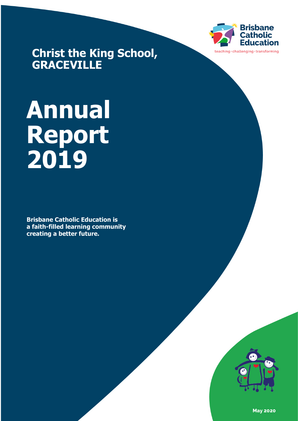

**Christ the King School, GRACEVILLE**

# **Annual Report 2019**

**Brisbane Catholic Education is a faith-filled learning community creating a better future.**



**May 2020**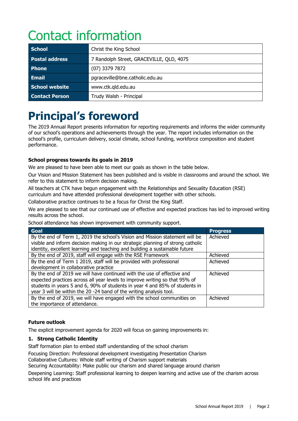# Contact information

| <b>School</b>         | Christ the King School                   |
|-----------------------|------------------------------------------|
| <b>Postal address</b> | 7 Randolph Street, GRACEVILLE, QLD, 4075 |
| <b>Phone</b>          | $(07)$ 3379 7872                         |
| <b>Email</b>          | pgraceville@bne.catholic.edu.au          |
| School website        | www.ctk.qld.edu.au                       |
| <b>Contact Person</b> | Trudy Walsh - Principal                  |

## **Principal's foreword**

The 2019 Annual Report presents information for reporting requirements and informs the wider community of our school's operations and achievements through the year. The report includes information on the school's profile, curriculum delivery, social climate, school funding, workforce composition and student performance.

#### **School progress towards its goals in 2019**

We are pleased to have been able to meet our goals as shown in the table below.

Our Vision and Mission Statement has been published and is visible in classrooms and around the school. We refer to this statement to inform decision making.

All teachers at CTK have begun engagement with the Relationships and Sexuality Education (RSE) curriculum and have attended professional development together with other schools.

Collaborative practice continues to be a focus for Christ the King Staff.

We are pleased to see that our continued use of effective and expected practices has led to improved writing results across the school.

School attendance has shown improvement with community support.

| <b>Goal</b>                                                                     | <b>Progress</b> |
|---------------------------------------------------------------------------------|-----------------|
| By the end of Term 1, 2019 the school's Vision and Mission statement will be    | Achieved        |
| visible and inform decision making in our strategic planning of strong catholic |                 |
| identity, excellent learning and teaching and building a sustainable future     |                 |
| By the end of 2019, staff will engage with the RSE Framework                    | Achieved        |
| By the end of Term 1 2019, staff will be provided with professional             | Achieved        |
| development in collaborative practice                                           |                 |
| By the end of 2019 we will have continued with the use of effective and         | Achieved        |
| expected practices across all year levels to improve writing so that 95% of     |                 |
| students in years 5 and 6, 90% of students in year 4 and 85% of students in     |                 |
| year 3 will be within the 20 -24 band of the writing analysis tool.             |                 |
| By the end of 2019, we will have engaged with the school communities on         | Achieved        |
| the importance of attendance.                                                   |                 |

#### **Future outlook**

The explicit improvement agenda for 2020 will focus on gaining improvements in:

#### **1. Strong Catholic Identity**

Staff formation plan to embed staff understanding of the school charism

Focusing Direction: Professional development investigating Presentation Charism

Collaborative Cultures: Whole staff writing of Charism support materials

Securing Accountability: Make public our charism and shared language around charism

Deepening Learning: Staff professional learning to deepen learning and active use of the charism across school life and practices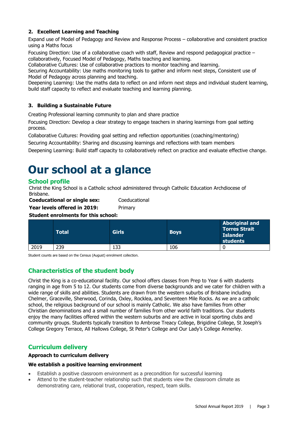#### **2. Excellent Learning and Teaching**

Expand use of Model of Pedagogy and Review and Response Process – collaborative and consistent practice using a Maths focus

Focusing Direction: Use of a collaborative coach with staff, Review and respond pedagogical practice – collaboratively, Focused Model of Pedagogy, Maths teaching and learning.

Collaborative Cultures: Use of collaborative practices to monitor teaching and learning.

Securing Accountability: Use maths monitoring tools to gather and inform next steps, Consistent use of Model of Pedagogy across planning and teaching.

Deepening Learning: Use the maths data to reflect on and inform next steps and individual student learning, build staff capacity to reflect and evaluate teaching and learning planning.

#### **3. Building a Sustainable Future**

Creating Professional learning community to plan and share practice

Focusing Direction: Develop a clear strategy to engage teachers in sharing learnings from goal setting process.

Collaborative Cultures: Providing goal setting and reflection opportunities (coaching/mentoring)

Securing Accountability: Sharing and discussing learnings and reflections with team members

Deepening Learning: Build staff capacity to collaboratively reflect on practice and evaluate effective change.

### **Our school at a glance**

#### **School profile**

Christ the King School is a Catholic school administered through Catholic Education Archdiocese of Brisbane.

**Coeducational or single sex:** Coeducational **Year levels offered in 2019:** Primary

#### **Student enrolments for this school:**

|      | Total | <b>Girls</b> | <b>Boys</b> | <b>Aboriginal and</b><br><b>Torres Strait</b><br><b>Islander</b><br>students |
|------|-------|--------------|-------------|------------------------------------------------------------------------------|
| 2019 | 239   | 133          | 106         |                                                                              |

Student counts are based on the Census (August) enrolment collection.

#### **Characteristics of the student body**

Christ the King is a co-educational facility. Our school offers classes from Prep to Year 6 with students ranging in age from 5 to 12. Our students come from diverse backgrounds and we cater for children with a wide range of skills and abilities. Students are drawn from the western suburbs of Brisbane including Chelmer, Graceville, Sherwood, Corinda, Oxley, Rocklea, and Seventeen Mile Rocks. As we are a catholic school, the religious background of our school is mainly Catholic. We also have families from other Christian denominations and a small number of families from other world faith traditions. Our students enjoy the many facilities offered within the western suburbs and are active in local sporting clubs and community groups. Students typically transition to Ambrose Treacy College, Brigidine College, St Joseph's College Gregory Terrace, All Hallows College, St Peter's College and Our Lady's College Annerley.

#### **Curriculum delivery**

#### **Approach to curriculum delivery**

#### **We establish a positive learning environment**

- Establish a positive classroom environment as a precondition for successful learning
- Attend to the student-teacher relationship such that students view the classroom climate as demonstrating care, relational trust, cooperation, respect, team skills.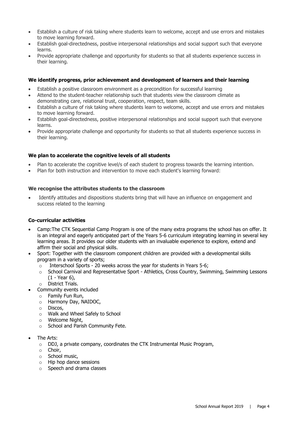- Establish a culture of risk taking where students learn to welcome, accept and use errors and mistakes to move learning forward.
- Establish goal-directedness, positive interpersonal relationships and social support such that everyone learns.
- Provide appropriate challenge and opportunity for students so that all students experience success in their learning.

#### **We identify progress, prior achievement and development of learners and their learning**

- Establish a positive classroom environment as a precondition for successful learning
- Attend to the student-teacher relationship such that students view the classroom climate as demonstrating care, relational trust, cooperation, respect, team skills.
- Establish a culture of risk taking where students learn to welcome, accept and use errors and mistakes to move learning forward.
- Establish goal-directedness, positive interpersonal relationships and social support such that everyone learns.
- Provide appropriate challenge and opportunity for students so that all students experience success in their learning.

#### **We plan to accelerate the cognitive levels of all students**

- Plan to accelerate the cognitive level/s of each student to progress towards the learning intention.
- Plan for both instruction and intervention to move each student's learning forward:

#### **We recognise the attributes students to the classroom**

Identify attitudes and dispositions students bring that will have an influence on engagement and success related to the learning

#### **Co-curricular activities**

- Camp:The CTK Sequential Camp Program is one of the many extra programs the school has on offer. It is an integral and eagerly anticipated part of the Years 5-6 curriculum integrating learning in several key learning areas. It provides our older students with an invaluable experience to explore, extend and affirm their social and physical skills.
- Sport: Together with the classroom component children are provided with a developmental skills program in a variety of sports;
	- $\circ$  Interschool Sports 20 weeks across the year for students in Years 5-6;
	- o School Carnival and Representative Sport Athletics, Cross Country, Swimming, Swimming Lessons (1 - Year 6),
	- o District Trials.
- Community events included
	- o Family Fun Run,
	- o Harmony Day, NAIDOC,
	- o Discos,
	- o Walk and Wheel Safely to School
	- o Welcome Night,
	- $\circ$  School and Parish Community Fete.
- The Arts:
	- $\circ$  DDJ, a private company, coordinates the CTK Instrumental Music Program,
	- o Choir,
	- o School music,
	- o Hip hop dance sessions
	- o Speech and drama classes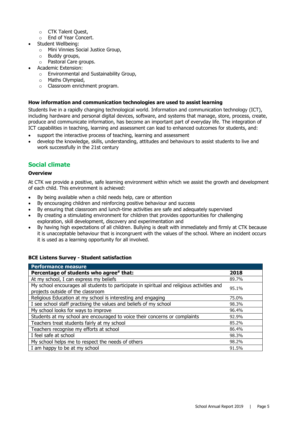- o CTK Talent Quest,
- o End of Year Concert.
- Student Wellbeing:
	- o Mini Vinnies Social Justice Group,
	- o Buddy groups,
	- o Pastoral Care groups.
- Academic Extension:
	- o Environmental and Sustainability Group,
	- o Maths Olympiad,
	- o Classroom enrichment program.

#### **How information and communication technologies are used to assist learning**

Students live in a rapidly changing technological world. Information and communication technology (ICT), including hardware and personal digital devices, software, and systems that manage, store, process, create, produce and communicate information, has become an important part of everyday life. The integration of ICT capabilities in teaching, learning and assessment can lead to enhanced outcomes for students, and:

- support the interactive process of teaching, learning and assessment
- develop the knowledge, skills, understanding, attitudes and behaviours to assist students to live and work successfully in the 21st century

#### **Social climate**

#### **Overview**

At CTK we provide a positive, safe learning environment within which we assist the growth and development of each child. This environment is achieved:

- By being available when a child needs help, care or attention
- By encouraging children and reinforcing positive behaviour and success
- By ensuring that classroom and lunch-time activities are safe and adequately supervised
- By creating a stimulating environment for children that provides opportunities for challenging exploration, skill development, discovery and experimentation and
- By having high expectations of all children. Bullying is dealt with immediately and firmly at CTK because it is unacceptable behaviour that is incongruent with the values of the school. Where an incident occurs it is used as a learning opportunity for all involved.

#### **BCE Listens Survey - Student satisfaction**

| <b>Performance measure</b>                                                                                                      |       |
|---------------------------------------------------------------------------------------------------------------------------------|-------|
| Percentage of students who agree# that:                                                                                         | 2018  |
| At my school, I can express my beliefs                                                                                          | 89.7% |
| My school encourages all students to participate in spiritual and religious activities and<br>projects outside of the classroom | 95.1% |
| Religious Education at my school is interesting and engaging                                                                    | 75.0% |
| I see school staff practising the values and beliefs of my school                                                               | 98.3% |
| My school looks for ways to improve                                                                                             | 96.4% |
| Students at my school are encouraged to voice their concerns or complaints                                                      | 92.9% |
| Teachers treat students fairly at my school                                                                                     | 85.2% |
| Teachers recognise my efforts at school                                                                                         | 86.4% |
| I feel safe at school                                                                                                           | 98.3% |
| My school helps me to respect the needs of others                                                                               | 98.2% |
| I am happy to be at my school                                                                                                   | 91.5% |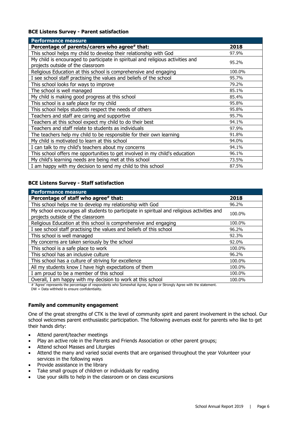#### **BCE Listens Survey - Parent satisfaction**

| <b>Performance measure</b>                                                      |        |
|---------------------------------------------------------------------------------|--------|
| Percentage of parents/carers who agree# that:                                   | 2018   |
| This school helps my child to develop their relationship with God               | 97.9%  |
| My child is encouraged to participate in spiritual and religious activities and | 95.2%  |
| projects outside of the classroom                                               |        |
| Religious Education at this school is comprehensive and engaging                | 100.0% |
| I see school staff practising the values and beliefs of the school              | 95.7%  |
| This school looks for ways to improve                                           | 79.2%  |
| The school is well managed                                                      | 85.1%  |
| My child is making good progress at this school                                 | 85.4%  |
| This school is a safe place for my child                                        | 95.8%  |
| This school helps students respect the needs of others                          | 95.8%  |
| Teachers and staff are caring and supportive                                    | 95.7%  |
| Teachers at this school expect my child to do their best                        | 94.1%  |
| Teachers and staff relate to students as individuals                            | 97.9%  |
| The teachers help my child to be responsible for their own learning             | 91.8%  |
| My child is motivated to learn at this school                                   | 94.0%  |
| I can talk to my child's teachers about my concerns                             | 94.1%  |
| This school offers me opportunities to get involved in my child's education     | 96.1%  |
| My child's learning needs are being met at this school                          | 73.5%  |
| I am happy with my decision to send my child to this school                     | 87.5%  |

#### **BCE Listens Survey - Staff satisfaction**

| <b>Performance measure</b>                                                                 |        |
|--------------------------------------------------------------------------------------------|--------|
| Percentage of staff who agree# that:                                                       | 2018   |
| This school helps me to develop my relationship with God                                   | 96.2%  |
| My school encourages all students to participate in spiritual and religious activities and | 100.0% |
| projects outside of the classroom                                                          |        |
| Religious Education at this school is comprehensive and engaging                           | 100.0% |
| I see school staff practising the values and beliefs of this school                        | 96.2%  |
| This school is well managed                                                                | 92.3%  |
| My concerns are taken seriously by the school                                              | 92.0%  |
| This school is a safe place to work                                                        | 100.0% |
| This school has an inclusive culture                                                       | 96.2%  |
| This school has a culture of striving for excellence                                       | 100.0% |
| All my students know I have high expectations of them                                      | 100.0% |
| I am proud to be a member of this school                                                   | 100.0% |
| Overall, I am happy with my decision to work at this school                                | 100.0% |

# 'Agree' represents the percentage of respondents who Somewhat Agree, Agree or Strongly Agree with the statement.  $DW = Data$  withheld to ensure confidentiality.

#### **Family and community engagement**

One of the great strengths of CTK is the level of community spirit and parent involvement in the school. Our school welcomes parent enthusiastic participation. The following avenues exist for parents who like to get their hands dirty:

- Attend parent/teacher meetings
- Play an active role in the Parents and Friends Association or other parent groups;
- Attend school Masses and Liturgies
- Attend the many and varied social events that are organised throughout the year Volunteer your services in the following ways
- Provide assistance in the library
- Take small groups of children or individuals for reading
- Use your skills to help in the classroom or on class excursions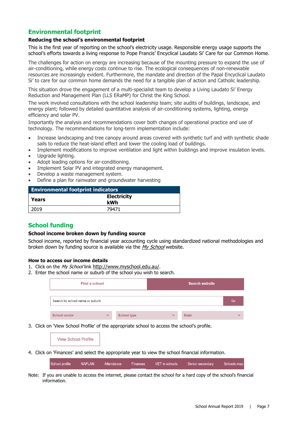#### **Environmental footprint**

#### **Reducing the school's environmental footprint**

This is the first year of reporting on the school's electricity usage. Responsible energy usage supports the school's efforts towards a living response to Pope Francis' Encyclical Laudato Si' Care for our Common Home.

The challenges for action on energy are increasing because of the mounting pressure to expand the use of air-conditioning, while energy costs continue to rise. The ecological consequences of non-renewable resources are increasingly evident. Furthermore, the mandate and direction of the Papal Encyclical Laudato Si' to care for our common home demands the need for a tangible plan of action and Catholic leadership.

This situation drove the engagement of a multi-specialist team to develop a Living Laudato Si' Energy Reduction and Management Plan (LLS ERaMP) for Christ the King School.

The work involved consultations with the school leadership team; site audits of buildings, landscape, and energy plant; followed by detailed quantitative analysis of air-conditioning systems, lighting, energy efficiency and solar PV.

Importantly the analysis and recommendations cover both changes of operational practice and use of technology. The recommendations for long-term implementation include:

- Increase landscaping and tree canopy around areas covered with synthetic turf and with synthetic shade sails to reduce the heat-island effect and lower the cooling load of buildings.
- Implement modifications to improve ventilation and light within buildings and improve insulation levels.
- Upgrade lighting.
- Adopt leading options for air-conditioning.
- Implement Solar PV and integrated energy management.
- Develop a waste management system.
- Define a plan for rainwater and groundwater harvesting

| <b>Environmental footprint indicators</b> |                           |
|-------------------------------------------|---------------------------|
| Years                                     | <b>Electricity</b><br>kWh |
| 2019                                      | 79471                     |

#### **School funding**

#### **School income broken down by funding source**

School income, reported by financial year accounting cycle using standardized national methodologies and broken down by funding source is available via the [My School](http://www.myschool.edu.au/) website.

#### **How to access our income details**

- 1. Click on the My School link [http://www.myschool.edu.au/.](http://www.myschool.edu.au/)
- 2. Enter the school name or suburb of the school you wish to search.

| Find a school<br><b>Search website</b> |              |                    |              |              |              |
|----------------------------------------|--------------|--------------------|--------------|--------------|--------------|
| Search by school name or suburb        |              |                    |              |              | Go           |
| <b>School sector</b>                   | $\checkmark$ | <b>School type</b> | $\checkmark$ | <b>State</b> | $\checkmark$ |

3. Click on 'View School Profile' of the appropriate school to access the school's profile.

**View School Profile** 

4. Click on 'Finances' and select the appropriate year to view the school financial information.

School profile **NAPLAN** Attendance Finances VET in schools Senior secondary Schools map

Note: If you are unable to access the internet, please contact the school for a hard copy of the school's financial information.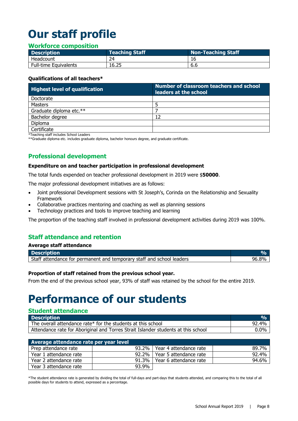# **Our staff profile**

#### **Workforce composition**

| <b>Description</b>           | <b>Teaching Staff</b> | Non-Teaching Staff |
|------------------------------|-----------------------|--------------------|
| Headcount                    | 24                    |                    |
| <b>Full-time Equivalents</b> | 16.25                 | 6.6                |

#### **Qualifications of all teachers\***

| <b>Highest level of qualification</b> | <b>Number of classroom teachers and school</b><br>leaders at the school |
|---------------------------------------|-------------------------------------------------------------------------|
| Doctorate                             |                                                                         |
| Masters                               |                                                                         |
| Graduate diploma etc.**               |                                                                         |
| Bachelor degree                       | 12                                                                      |
| Diploma                               |                                                                         |
| Certificate                           |                                                                         |

\*Teaching staff includes School Leaders

\*\*Graduate diploma etc. includes graduate diploma, bachelor honours degree, and graduate certificate.

#### **Professional development**

#### **Expenditure on and teacher participation in professional development**

The total funds expended on teacher professional development in 2019 were \$**50000**.

The major professional development initiatives are as follows:

- Joint professional Development sessions with St Joseph's, Corinda on the Relationship and Sexuality Framework
- Collaborative practices mentoring and coaching as well as planning sessions
- Technology practices and tools to improve teaching and learning

The proportion of the teaching staff involved in professional development activities during 2019 was 100%.

#### **Staff attendance and retention**

| Average staff attendance                                              |           |
|-----------------------------------------------------------------------|-----------|
| <b>Description</b>                                                    | <b>OA</b> |
| Staff attendance for permanent and temporary staff and school leaders | 96.8%     |

#### **Proportion of staff retained from the previous school year.**

From the end of the previous school year, 93% of staff was retained by the school for the entire 2019.

### **Performance of our students**

#### **Student attendance**

| <b>Description</b>                                                                | $O_{\mathsf{m}}$ |
|-----------------------------------------------------------------------------------|------------------|
| The overall attendance rate* for the students at this school                      | 92.4%            |
| Attendance rate for Aboriginal and Torres Strait Islander students at this school | $0.0\%$          |

| Average attendance rate per year level |       |                                |       |  |  |  |
|----------------------------------------|-------|--------------------------------|-------|--|--|--|
| Prep attendance rate                   |       | 93.2%   Year 4 attendance rate | 89.7% |  |  |  |
| Year 1 attendance rate                 |       | 92.2%   Year 5 attendance rate | 92.4% |  |  |  |
| Year 2 attendance rate                 |       | 91.3%   Year 6 attendance rate | 94.6% |  |  |  |
| Year 3 attendance rate                 | 93.9% |                                |       |  |  |  |

\*The student attendance rate is generated by dividing the total of full-days and part-days that students attended, and comparing this to the total of all possible days for students to attend, expressed as a percentage.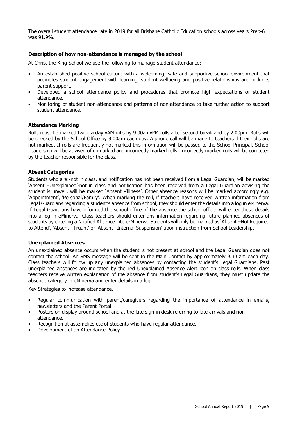The overall student attendance rate in 2019 for all Brisbane Catholic Education schools across years Prep-6 was 91.9%.

#### **Description of how non-attendance is managed by the school**

At Christ the King School we use the following to manage student attendance:

- An established positive school culture with a welcoming, safe and supportive school environment that promotes student engagement with learning, student wellbeing and positive relationships and includes parent support.
- Developed a school attendance policy and procedures that promote high expectations of student attendance.
- Monitoring of student non-attendance and patterns of non-attendance to take further action to support student attendance.

#### **Attendance Marking**

Rolls must be marked twice a day:•AM rolls by 9.00am•PM rolls after second break and by 2.00pm. Rolls will be checked by the School Office by 9.00am each day. A phone call will be made to teachers if their rolls are not marked. If rolls are frequently not marked this information will be passed to the School Principal. School Leadership will be advised of unmarked and incorrectly marked rolls. Incorrectly marked rolls will be corrected by the teacher responsible for the class.

#### **Absent Categories**

Students who are:-not in class, and notification has not been received from a Legal Guardian, will be marked 'Absent –Unexplained'-not in class and notification has been received from a Legal Guardian advising the student is unwell, will be marked 'Absent –Illness'. Other absence reasons will be marked accordingly e.g. 'Appointment', 'Personal/Family'. When marking the roll, if teachers have received written information from Legal Guardians regarding a student's absence from school, they should enter the details into a log in eMinerva. If Legal Guardians have informed the school office of the absence the school officer will enter these details into a log in eMinerva. Class teachers should enter any information regarding future planned absences of students by entering a Notified Absence into e-Minerva. Students will only be marked as 'Absent –Not Required to Attend', 'Absent –Truant' or 'Absent –Internal Suspension' upon instruction from School Leadership.

#### **Unexplained Absences**

An unexplained absence occurs when the student is not present at school and the Legal Guardian does not contact the school. An SMS message will be sent to the Main Contact by approximately 9.30 am each day. Class teachers will follow up any unexplained absences by contacting the student's Legal Guardians. Past unexplained absences are indicated by the red Unexplained Absence Alert icon on class rolls. When class teachers receive written explanation of the absence from student's Legal Guardians, they must update the absence category in eMinerva and enter details in a log.

Key Strategies to increase attendance.

- Regular communication with parent/caregivers regarding the importance of attendance in emails, newsletters and the Parent Portal
- Posters on display around school and at the late sign-in desk referring to late arrivals and nonattendance.
- Recognition at assemblies etc of students who have regular attendance.
- Development of an Attendance Policy